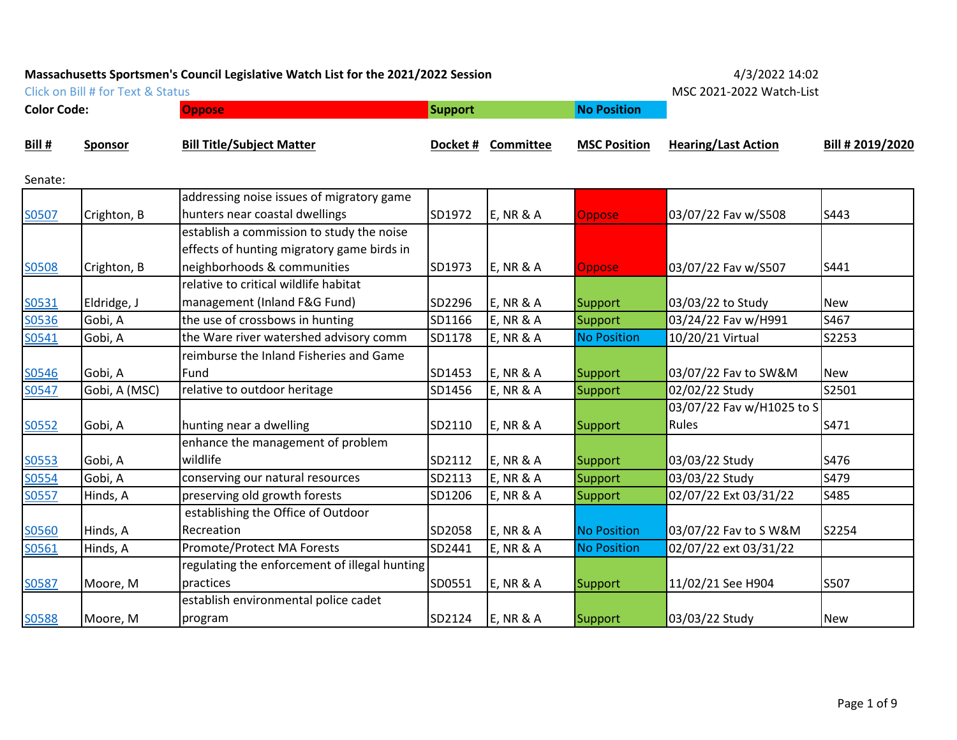Click on Bill # for Text & Status **MSC 2021-2022 Watch-List** 

| <b>Color Code:</b> |                | <b>Oppose</b>                                 | Support |                      | <b>No Position</b>  |                            |                  |
|--------------------|----------------|-----------------------------------------------|---------|----------------------|---------------------|----------------------------|------------------|
| Bill #             | <b>Sponsor</b> | <b>Bill Title/Subject Matter</b>              |         | Docket # Committee   | <b>MSC Position</b> | <b>Hearing/Last Action</b> | Bill # 2019/2020 |
| Senate:            |                |                                               |         |                      |                     |                            |                  |
|                    |                | addressing noise issues of migratory game     |         |                      |                     |                            |                  |
| S0507              | Crighton, B    | hunters near coastal dwellings                | SD1972  | $E$ , NR & A         | <b>Oppose</b>       | 03/07/22 Fav w/S508        | S443             |
|                    |                | establish a commission to study the noise     |         |                      |                     |                            |                  |
|                    |                | effects of hunting migratory game birds in    |         |                      |                     |                            |                  |
| S0508              | Crighton, B    | neighborhoods & communities                   | SD1973  | $E$ , NR & A         | <b>Oppose</b>       | 03/07/22 Fav w/S507        | S441             |
|                    |                | relative to critical wildlife habitat         |         |                      |                     |                            |                  |
| S0531              | Eldridge, J    | management (Inland F&G Fund)                  | SD2296  | <b>E, NR &amp; A</b> | Support             | 03/03/22 to Study          | <b>New</b>       |
| S0536              | Gobi, A        | the use of crossbows in hunting               | SD1166  | <b>E, NR &amp; A</b> | Support             | 03/24/22 Fav w/H991        | S467             |
| S0541              | Gobi, A        | the Ware river watershed advisory comm        | SD1178  | <b>E, NR &amp; A</b> | <b>No Position</b>  | 10/20/21 Virtual           | S2253            |
|                    |                | reimburse the Inland Fisheries and Game       |         |                      |                     |                            |                  |
| S0546              | Gobi, A        | Fund                                          | SD1453  | $E$ , NR & A         | Support             | 03/07/22 Fav to SW&M       | <b>New</b>       |
| S0547              | Gobi, A (MSC)  | relative to outdoor heritage                  | SD1456  | <b>E, NR &amp; A</b> | Support             | 02/02/22 Study             | S2501            |
|                    |                |                                               |         |                      |                     | 03/07/22 Fav w/H1025 to S  |                  |
| S0552              | Gobi, A        | hunting near a dwelling                       | SD2110  | $E$ , NR & A         | Support             | Rules                      | S471             |
|                    |                | enhance the management of problem             |         |                      |                     |                            |                  |
| S0553              | Gobi, A        | wildlife                                      | SD2112  | <b>E, NR &amp; A</b> | Support             | 03/03/22 Study             | S476             |
| S0554              | Gobi, A        | conserving our natural resources              | SD2113  | <b>E, NR &amp; A</b> | Support             | 03/03/22 Study             | S479             |
| S0557              | Hinds, A       | preserving old growth forests                 | SD1206  | <b>E, NR &amp; A</b> | Support             | 02/07/22 Ext 03/31/22      | S485             |
|                    |                | establishing the Office of Outdoor            |         |                      |                     |                            |                  |
| S0560              | Hinds, A       | Recreation                                    | SD2058  | $E$ , NR & A         | <b>No Position</b>  | 03/07/22 Fav to S W&M      | S2254            |
| S0561              | Hinds, A       | Promote/Protect MA Forests                    | SD2441  | <b>E, NR &amp; A</b> | <b>No Position</b>  | 02/07/22 ext 03/31/22      |                  |
|                    |                | regulating the enforcement of illegal hunting |         |                      |                     |                            |                  |
| S0587              | Moore, M       | practices                                     | SD0551  | $E$ , NR & A         | Support             | 11/02/21 See H904          | S507             |
|                    |                | establish environmental police cadet          |         |                      |                     |                            |                  |
| S0588              | Moore, M       | program                                       | SD2124  | <b>E, NR &amp; A</b> | Support             | 03/03/22 Study             | <b>New</b>       |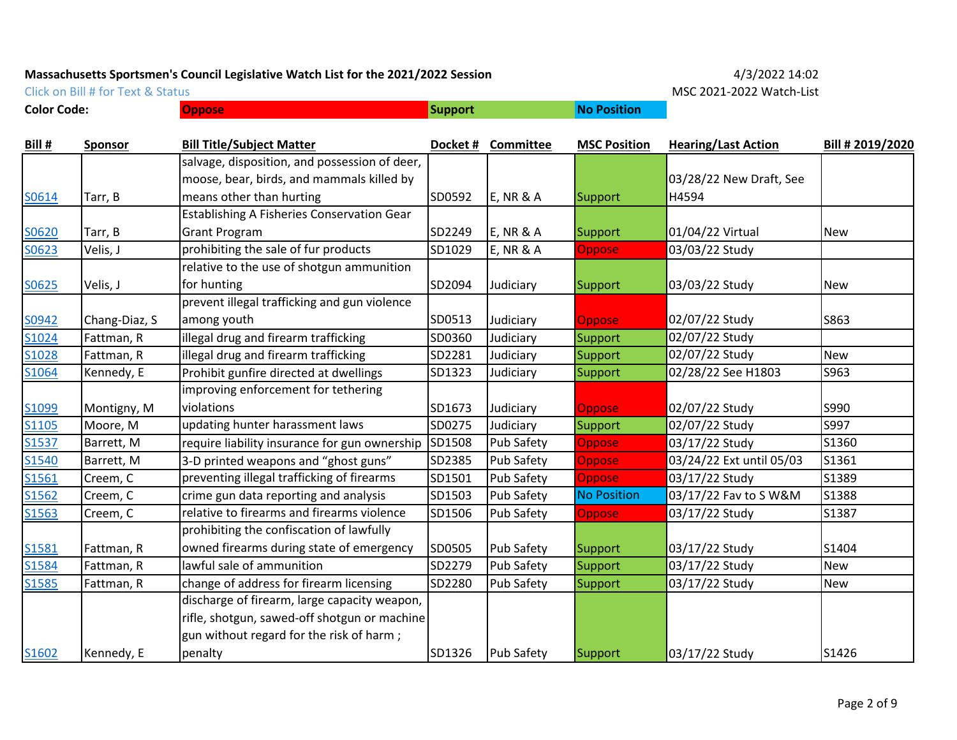**Color Code: Oppose No Position**

Click on Bill # for Text & Status **MSC 2021-2022 Watch-List** 

| <u>Bill #</u>     | <b>Sponsor</b> | <b>Bill Title/Subject Matter</b>                  |        | Docket # Committee   | <b>MSC Position</b> | <b>Hearing/Last Action</b> | Bill # 2019/2020 |
|-------------------|----------------|---------------------------------------------------|--------|----------------------|---------------------|----------------------------|------------------|
|                   |                | salvage, disposition, and possession of deer,     |        |                      |                     |                            |                  |
|                   |                | moose, bear, birds, and mammals killed by         |        |                      |                     | 03/28/22 New Draft, See    |                  |
| <u>SO614</u>      | Tarr, B        | means other than hurting                          | SD0592 | $E$ , NR & A         | Support             | H4594                      |                  |
|                   |                | <b>Establishing A Fisheries Conservation Gear</b> |        |                      |                     |                            |                  |
| S0620             | Tarr, B        | <b>Grant Program</b>                              | SD2249 | <b>E, NR &amp; A</b> | <b>Support</b>      | 01/04/22 Virtual           | <b>New</b>       |
| S0623             | Velis, J       | prohibiting the sale of fur products              | SD1029 | <b>E, NR &amp; A</b> | <b>Oppose</b>       | 03/03/22 Study             |                  |
|                   |                | relative to the use of shotgun ammunition         |        |                      |                     |                            |                  |
| S0625             | Velis, J       | for hunting                                       | SD2094 | Judiciary            | Support             | 03/03/22 Study             | <b>New</b>       |
|                   |                | prevent illegal trafficking and gun violence      |        |                      |                     |                            |                  |
| S0942             | Chang-Diaz, S  | among youth                                       | SD0513 | Judiciary            | <b>Oppose</b>       | 02/07/22 Study             | S863             |
| S1024             | Fattman, R     | illegal drug and firearm trafficking              | SD0360 | Judiciary            | Support             | 02/07/22 Study             |                  |
| S1028             | Fattman, R     | illegal drug and firearm trafficking              | SD2281 | Judiciary            | Support             | 02/07/22 Study             | <b>New</b>       |
| S1064             | Kennedy, E     | Prohibit gunfire directed at dwellings            | SD1323 | Judiciary            | Support             | 02/28/22 See H1803         | S963             |
|                   |                | improving enforcement for tethering               |        |                      |                     |                            |                  |
| S <sub>1099</sub> | Montigny, M    | violations                                        | SD1673 | Judiciary            | <b>Oppose</b>       | 02/07/22 Study             | S990             |
| S1105             | Moore, M       | updating hunter harassment laws                   | SD0275 | Judiciary            | Support             | 02/07/22 Study             | S997             |
| S <sub>1537</sub> | Barrett, M     | require liability insurance for gun ownership     | SD1508 | Pub Safety           | <b>Oppose</b>       | 03/17/22 Study             | S1360            |
| S1540             | Barrett, M     | 3-D printed weapons and "ghost guns"              | SD2385 | Pub Safety           | Oppose              | 03/24/22 Ext until 05/03   | S1361            |
| S <sub>1561</sub> | Creem, C       | preventing illegal trafficking of firearms        | SD1501 | Pub Safety           | Oppose              | 03/17/22 Study             | S1389            |
| S1562             | Creem, C       | crime gun data reporting and analysis             | SD1503 | Pub Safety           | <b>No Position</b>  | 03/17/22 Fav to S W&M      | S1388            |
| S1563             | Creem, C       | relative to firearms and firearms violence        | SD1506 | Pub Safety           | <b>Oppose</b>       | 03/17/22 Study             | S1387            |
|                   |                | prohibiting the confiscation of lawfully          |        |                      |                     |                            |                  |
| S1581             | Fattman, R     | owned firearms during state of emergency          | SD0505 | Pub Safety           | Support             | 03/17/22 Study             | S1404            |
| S1584             | Fattman, R     | lawful sale of ammunition                         | SD2279 | Pub Safety           | Support             | 03/17/22 Study             | <b>New</b>       |
| S1585             | Fattman, R     | change of address for firearm licensing           | SD2280 | Pub Safety           | Support             | 03/17/22 Study             | <b>New</b>       |
|                   |                | discharge of firearm, large capacity weapon,      |        |                      |                     |                            |                  |
|                   |                | rifle, shotgun, sawed-off shotgun or machine      |        |                      |                     |                            |                  |
|                   |                | gun without regard for the risk of harm;          |        |                      |                     |                            |                  |
| S1602             | Kennedy, E     | penalty                                           | SD1326 | <b>Pub Safety</b>    | Support             | 03/17/22 Study             | S1426            |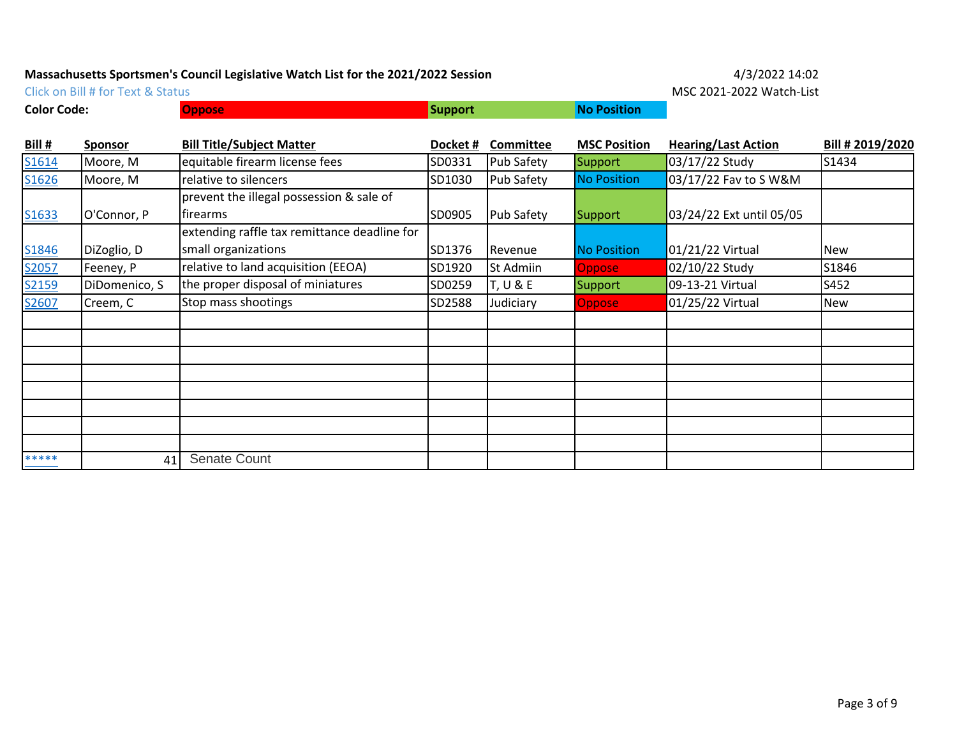**Color Code: Oppose Biography Color Code: No Position** 

Click on Bill # for Text & Status **MSC 2021-2022 Watch-List** 

| Bill# | Sponsor       | <b>Bill Title/Subject Matter</b>             | Docket# | Committee         | <b>MSC Position</b> | <b>Hearing/Last Action</b> | Bill # 2019/2020 |
|-------|---------------|----------------------------------------------|---------|-------------------|---------------------|----------------------------|------------------|
| S1614 | Moore, M      | equitable firearm license fees               | SD0331  | <b>Pub Safety</b> | Support             | 03/17/22 Study             | S1434            |
| S1626 | Moore, M      | relative to silencers                        | SD1030  | Pub Safety        | <b>No Position</b>  | 03/17/22 Fav to S W&M      |                  |
|       |               | prevent the illegal possession & sale of     |         |                   |                     |                            |                  |
| S1633 | O'Connor, P   | firearms                                     | SD0905  | Pub Safety        | <b>Support</b>      | 03/24/22 Ext until 05/05   |                  |
|       |               | extending raffle tax remittance deadline for |         |                   |                     |                            |                  |
| S1846 | DiZoglio, D   | small organizations                          | SD1376  | Revenue           | <b>No Position</b>  | 01/21/22 Virtual           | <b>New</b>       |
| S2057 | Feeney, P     | relative to land acquisition (EEOA)          | SD1920  | St Admiin         | <b>Oppose</b>       | 02/10/22 Study             | S1846            |
| S2159 | DiDomenico, S | the proper disposal of miniatures            | SD0259  | T, U & E          | Support             | 09-13-21 Virtual           | S452             |
| S2607 | Creem, C      | Stop mass shootings                          | SD2588  | Judiciary         | <b>Oppose</b>       | 01/25/22 Virtual           | New              |
|       |               |                                              |         |                   |                     |                            |                  |
|       |               |                                              |         |                   |                     |                            |                  |
|       |               |                                              |         |                   |                     |                            |                  |
|       |               |                                              |         |                   |                     |                            |                  |
|       |               |                                              |         |                   |                     |                            |                  |
|       |               |                                              |         |                   |                     |                            |                  |
|       |               |                                              |         |                   |                     |                            |                  |
|       |               |                                              |         |                   |                     |                            |                  |
| ***** | 41            | <b>Senate Count</b>                          |         |                   |                     |                            |                  |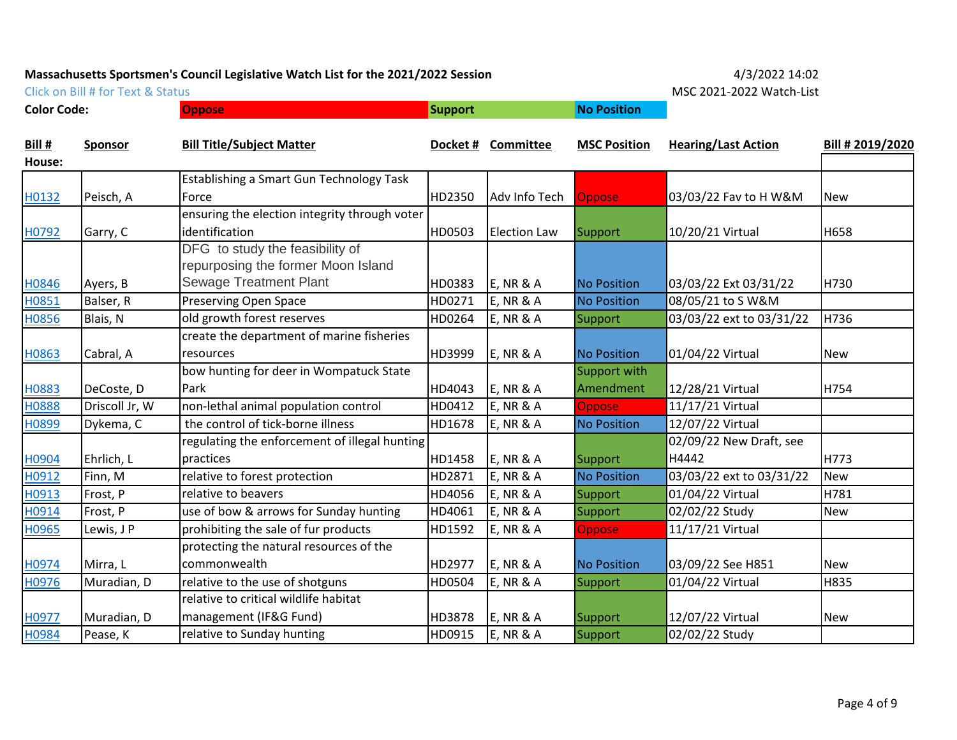Click on Bill # for Text & Status **MSC 2021-2022 Watch-List** 

**Color Code: Oppose No Position**

|             | IVIJU Z |
|-------------|---------|
| No Docition |         |

| Bill # | Sponsor        | <b>Bill Title/Subject Matter</b>              |        | Docket # Committee   | <b>MSC Position</b> | <b>Hearing/Last Action</b> | Bill # 2019/2020 |
|--------|----------------|-----------------------------------------------|--------|----------------------|---------------------|----------------------------|------------------|
| House: |                |                                               |        |                      |                     |                            |                  |
|        |                | Establishing a Smart Gun Technology Task      |        |                      |                     |                            |                  |
| H0132  | Peisch, A      | Force                                         | HD2350 | Adv Info Tech        | Oppose              | 03/03/22 Fav to H W&M      | <b>New</b>       |
|        |                | ensuring the election integrity through voter |        |                      |                     |                            |                  |
| H0792  | Garry, C       | identification                                | HD0503 | <b>Election Law</b>  | Support             | 10/20/21 Virtual           | H658             |
|        |                | DFG to study the feasibility of               |        |                      |                     |                            |                  |
|        |                | repurposing the former Moon Island            |        |                      |                     |                            |                  |
| H0846  | Ayers, B       | <b>Sewage Treatment Plant</b>                 | HD0383 | $E$ , NR & A         | <b>No Position</b>  | 03/03/22 Ext 03/31/22      | H730             |
| H0851  | Balser, R      | <b>Preserving Open Space</b>                  | HD0271 | <b>E, NR &amp; A</b> | <b>No Position</b>  | 08/05/21 to S W&M          |                  |
| H0856  | Blais, N       | old growth forest reserves                    | HD0264 | <b>E, NR &amp; A</b> | Support             | 03/03/22 ext to 03/31/22   | H736             |
|        |                | create the department of marine fisheries     |        |                      |                     |                            |                  |
| H0863  | Cabral, A      | resources                                     | HD3999 | $E$ , NR & A         | <b>No Position</b>  | 01/04/22 Virtual           | <b>New</b>       |
|        |                | bow hunting for deer in Wompatuck State       |        |                      | Support with        |                            |                  |
| H0883  | DeCoste, D     | Park                                          | HD4043 | $E$ , NR & A         | Amendment           | 12/28/21 Virtual           | H754             |
| H0888  | Driscoll Jr, W | non-lethal animal population control          | HD0412 | <b>E, NR &amp; A</b> | Oppose              | 11/17/21 Virtual           |                  |
| H0899  | Dykema, C      | the control of tick-borne illness             | HD1678 | <b>E, NR &amp; A</b> | <b>No Position</b>  | 12/07/22 Virtual           |                  |
|        |                | regulating the enforcement of illegal hunting |        |                      |                     | 02/09/22 New Draft, see    |                  |
| H0904  | Ehrlich, L     | practices                                     | HD1458 | $E$ , NR & A         | Support             | H4442                      | H773             |
| H0912  | Finn, M        | relative to forest protection                 | HD2871 | $E$ , NR & A         | <b>No Position</b>  | 03/03/22 ext to 03/31/22   | <b>New</b>       |
| H0913  | Frost, P       | relative to beavers                           | HD4056 | <b>E, NR &amp; A</b> | Support             | 01/04/22 Virtual           | H781             |
| H0914  | Frost, P       | use of bow & arrows for Sunday hunting        | HD4061 | <b>E, NR &amp; A</b> | Support             | 02/02/22 Study             | <b>New</b>       |
| H0965  | Lewis, J P     | prohibiting the sale of fur products          | HD1592 | <b>E, NR &amp; A</b> | <b>Oppose</b>       | 11/17/21 Virtual           |                  |
|        |                | protecting the natural resources of the       |        |                      |                     |                            |                  |
| H0974  | Mirra, L       | commonwealth                                  | HD2977 | $E$ , NR & A         | <b>No Position</b>  | 03/09/22 See H851          | <b>New</b>       |
| H0976  | Muradian, D    | relative to the use of shotguns               | HD0504 | $E$ , NR & A         | Support             | 01/04/22 Virtual           | H835             |
|        |                | relative to critical wildlife habitat         |        |                      |                     |                            |                  |
| H0977  | Muradian, D    | management (IF&G Fund)                        | HD3878 | <b>E, NR &amp; A</b> | Support             | 12/07/22 Virtual           | <b>New</b>       |
| H0984  | Pease, K       | relative to Sunday hunting                    | HD0915 | <b>E, NR &amp; A</b> | Support             | 02/02/22 Study             |                  |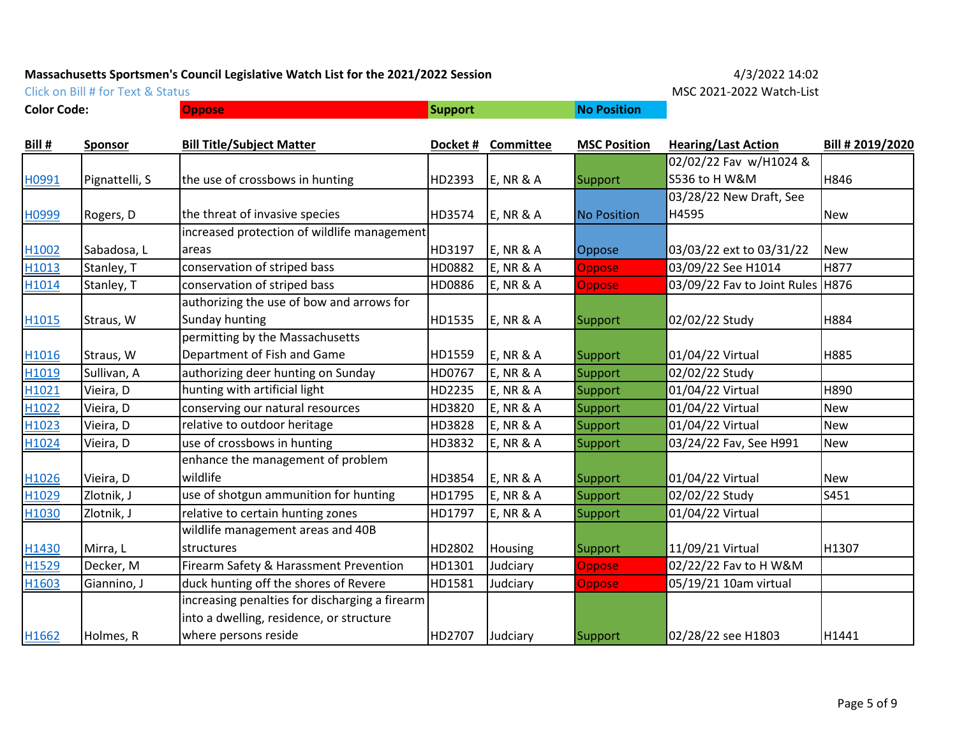**Color Code: Oppose Biography Color Code: No Position** 

Click on Bill # for Text & Status **MSC 2021-2022 Watch-List** 

| <b>Bill #</b>     | <b>Sponsor</b> | <b>Bill Title/Subject Matter</b>               | Docket# | Committee            | <b>MSC Position</b> | <b>Hearing/Last Action</b>         | Bill # 2019/2020 |
|-------------------|----------------|------------------------------------------------|---------|----------------------|---------------------|------------------------------------|------------------|
|                   |                |                                                |         |                      |                     | 02/02/22 Fav w/H1024 &             |                  |
| H0991             | Pignattelli, S | the use of crossbows in hunting                | HD2393  | $E$ , NR & A         | Support             | S536 to H W&M                      | H846             |
|                   |                |                                                |         |                      |                     | 03/28/22 New Draft, See            |                  |
| H0999             | Rogers, D      | the threat of invasive species                 | HD3574  | $E$ , NR & A         | <b>No Position</b>  | H4595                              | <b>New</b>       |
|                   |                | increased protection of wildlife management    |         |                      |                     |                                    |                  |
| H1002             | Sabadosa, L    | areas                                          | HD3197  | $E$ , NR & A         | Oppose              | 03/03/22 ext to 03/31/22           | <b>New</b>       |
| H <sub>1013</sub> | Stanley, T     | conservation of striped bass                   | HD0882  | <b>E, NR &amp; A</b> | <b>Oppose</b>       | 03/09/22 See H1014                 | <b>H877</b>      |
| H1014             | Stanley, T     | conservation of striped bass                   | HD0886  | <b>E, NR &amp; A</b> | <b>Oppose</b>       | 03/09/22 Fav to Joint Rules   H876 |                  |
|                   |                | authorizing the use of bow and arrows for      |         |                      |                     |                                    |                  |
| H <sub>1015</sub> | Straus, W      | Sunday hunting                                 | HD1535  | <b>E, NR &amp; A</b> | Support             | 02/02/22 Study                     | H884             |
|                   |                | permitting by the Massachusetts                |         |                      |                     |                                    |                  |
| H1016             | Straus, W      | Department of Fish and Game                    | HD1559  | $E$ , NR & A         | Support             | 01/04/22 Virtual                   | <b>H885</b>      |
| H1019             | Sullivan, A    | authorizing deer hunting on Sunday             | HD0767  | <b>E, NR &amp; A</b> | Support             | 02/02/22 Study                     |                  |
| H1021             | Vieira, D      | hunting with artificial light                  | HD2235  | <b>E, NR &amp; A</b> | Support             | 01/04/22 Virtual                   | H890             |
| H1022             | Vieira, D      | conserving our natural resources               | HD3820  | <b>E, NR &amp; A</b> | Support             | 01/04/22 Virtual                   | <b>New</b>       |
| H1023             | Vieira, D      | relative to outdoor heritage                   | HD3828  | <b>E, NR &amp; A</b> | Support             | 01/04/22 Virtual                   | <b>New</b>       |
| H1024             | Vieira, D      | use of crossbows in hunting                    | HD3832  | <b>E, NR &amp; A</b> | Support             | 03/24/22 Fav, See H991             | New              |
|                   |                | enhance the management of problem              |         |                      |                     |                                    |                  |
| H1026             | Vieira, D      | wildlife                                       | HD3854  | <b>E, NR &amp; A</b> | Support             | 01/04/22 Virtual                   | <b>New</b>       |
| H1029             | Zlotnik, J     | use of shotgun ammunition for hunting          | HD1795  | <b>E, NR &amp; A</b> | Support             | 02/02/22 Study                     | S451             |
| H1030             | Zlotnik, J     | relative to certain hunting zones              | HD1797  | <b>E, NR &amp; A</b> | Support             | 01/04/22 Virtual                   |                  |
|                   |                | wildlife management areas and 40B              |         |                      |                     |                                    |                  |
| H1430             | Mirra, L       | structures                                     | HD2802  | Housing              | Support             | 11/09/21 Virtual                   | H1307            |
| H1529             | Decker, M      | Firearm Safety & Harassment Prevention         | HD1301  | Judciary             | <b>Oppose</b>       | 02/22/22 Fav to H W&M              |                  |
| H1603             | Giannino, J    | duck hunting off the shores of Revere          | HD1581  | Judciary             | <b>Oppose</b>       | 05/19/21 10am virtual              |                  |
|                   |                | increasing penalties for discharging a firearm |         |                      |                     |                                    |                  |
|                   |                | into a dwelling, residence, or structure       |         |                      |                     |                                    |                  |
| H1662             | Holmes, R      | where persons reside                           | HD2707  | Judciary             | Support             | 02/28/22 see H1803                 | H1441            |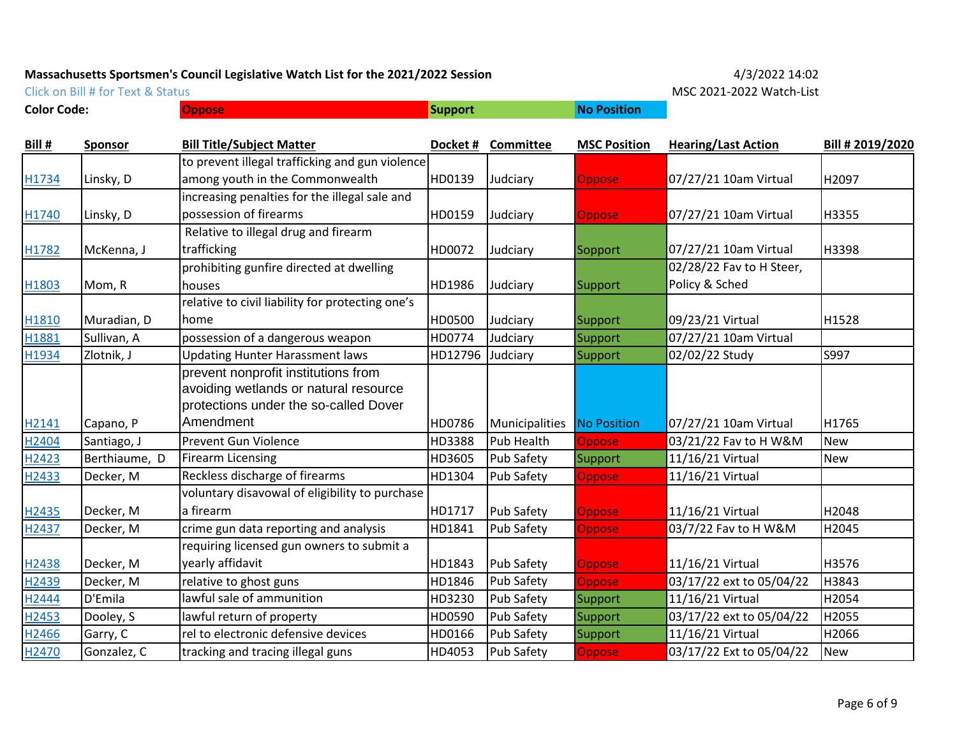**Color Code: Oppose No Position**

Click on Bill # for Text & Status **MSC 2021-2022 Watch-List** 

| Bill #            | <b>Sponsor</b> | <b>Bill Title/Subject Matter</b>                 | Docket# | <b>Committee</b>  | <b>MSC Position</b> | <b>Hearing/Last Action</b> | Bill # 2019/2020 |
|-------------------|----------------|--------------------------------------------------|---------|-------------------|---------------------|----------------------------|------------------|
|                   |                | to prevent illegal trafficking and gun violence  |         |                   |                     |                            |                  |
| H1734             | Linsky, D      | among youth in the Commonwealth                  | HD0139  | Judciary          | <b>Oppose</b>       | 07/27/21 10am Virtual      | H2097            |
|                   |                | increasing penalties for the illegal sale and    |         |                   |                     |                            |                  |
| H1740             | Linsky, D      | possession of firearms                           | HD0159  | Judciary          | <b>Oppose</b>       | 07/27/21 10am Virtual      | H3355            |
|                   |                | Relative to illegal drug and firearm             |         |                   |                     |                            |                  |
| H1782             | McKenna, J     | trafficking                                      | HD0072  | Judciary          | Sopport             | 07/27/21 10am Virtual      | H3398            |
|                   |                | prohibiting gunfire directed at dwelling         |         |                   |                     | 02/28/22 Fav to H Steer,   |                  |
| H1803             | Mom, R         | houses                                           | HD1986  | Judciary          | <b>Support</b>      | Policy & Sched             |                  |
|                   |                | relative to civil liability for protecting one's |         |                   |                     |                            |                  |
| H1810             | Muradian, D    | home                                             | HD0500  | Judciary          | Support             | 09/23/21 Virtual           | H1528            |
| H <sub>1881</sub> | Sullivan, A    | possession of a dangerous weapon                 | HD0774  | Judciary          | Support             | 07/27/21 10am Virtual      |                  |
| H1934             | Zlotnik, J     | <b>Updating Hunter Harassment laws</b>           | HD12796 | Judciary          | Support             | 02/02/22 Study             | S997             |
|                   |                | prevent nonprofit institutions from              |         |                   |                     |                            |                  |
|                   |                | avoiding wetlands or natural resource            |         |                   |                     |                            |                  |
|                   |                | protections under the so-called Dover            |         |                   |                     |                            |                  |
| H <sub>2141</sub> | Capano, P      | Amendment                                        | HD0786  | Municipalities    | <b>No Position</b>  | 07/27/21 10am Virtual      | H1765            |
| H <sub>2404</sub> | Santiago, J    | <b>Prevent Gun Violence</b>                      | HD3388  | Pub Health        | <b>Oppose</b>       | 03/21/22 Fav to H W&M      | <b>New</b>       |
| H2423             | Berthiaume, D  | Firearm Licensing                                | HD3605  | Pub Safety        | Support             | 11/16/21 Virtual           | New              |
| H2433             | Decker, M      | Reckless discharge of firearms                   | HD1304  | Pub Safety        | <b>Oppose</b>       | 11/16/21 Virtual           |                  |
|                   |                | voluntary disavowal of eligibility to purchase   |         |                   |                     |                            |                  |
| H <sub>2435</sub> | Decker, M      | a firearm                                        | HD1717  | <b>Pub Safety</b> | Oppose              | 11/16/21 Virtual           | H2048            |
| H2437             | Decker, M      | crime gun data reporting and analysis            | HD1841  | Pub Safety        | <b>Oppose</b>       | 03/7/22 Fav to H W&M       | H2045            |
|                   |                | requiring licensed gun owners to submit a        |         |                   |                     |                            |                  |
| H2438             | Decker, M      | yearly affidavit                                 | HD1843  | <b>Pub Safety</b> | <b>Oppose</b>       | 11/16/21 Virtual           | H3576            |
| H <sub>2439</sub> | Decker, M      | relative to ghost guns                           | HD1846  | Pub Safety        | <b>Oppose</b>       | 03/17/22 ext to 05/04/22   | H3843            |
| H2444             | D'Emila        | lawful sale of ammunition                        | HD3230  | Pub Safety        | Support             | 11/16/21 Virtual           | H2054            |
| H <sub>2453</sub> | Dooley, S      | lawful return of property                        | HD0590  | Pub Safety        | Support             | 03/17/22 ext to 05/04/22   | H2055            |
| H2466             | Garry, C       | rel to electronic defensive devices              | HD0166  | Pub Safety        | Support             | 11/16/21 Virtual           | H2066            |
| H2470             | Gonzalez, C    | tracking and tracing illegal guns                | HD4053  | <b>Pub Safety</b> | Oppose              | 03/17/22 Ext to 05/04/22   | <b>New</b>       |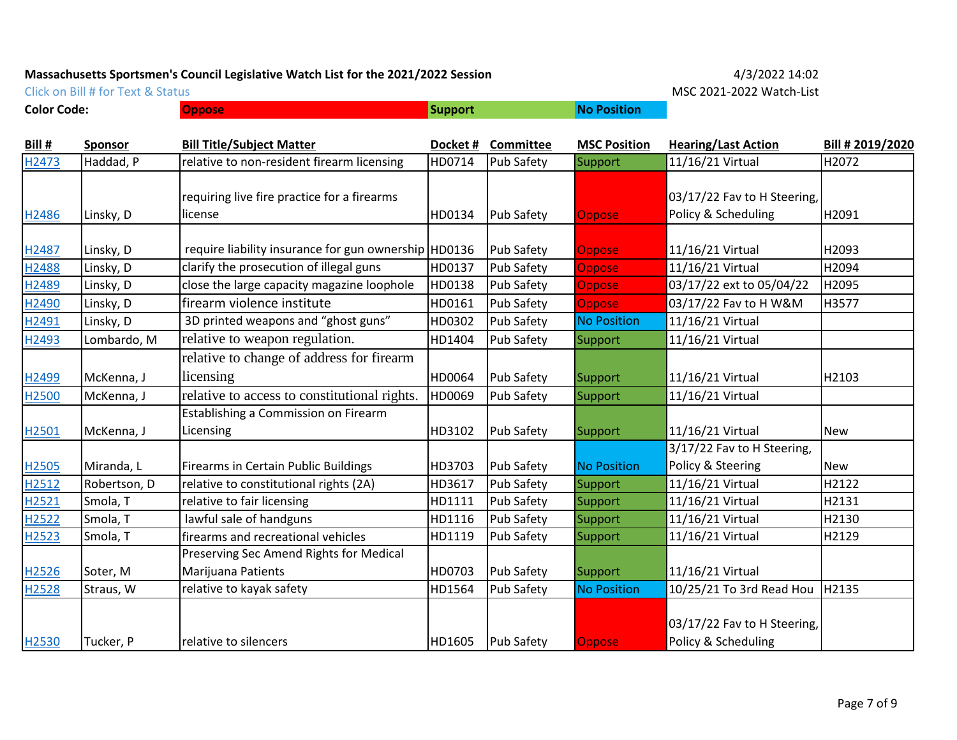**Color Code: Oppose No Position**

Click on Bill # for Text & Status **MSC 2021-2022 Watch-List** 

| Bill #            | <b>Sponsor</b> | <b>Bill Title/Subject Matter</b>                     | Docket# | Committee         | <b>MSC Position</b> | <b>Hearing/Last Action</b>  | Bill # 2019/2020 |
|-------------------|----------------|------------------------------------------------------|---------|-------------------|---------------------|-----------------------------|------------------|
| H2473             | Haddad, P      | relative to non-resident firearm licensing           | HD0714  | Pub Safety        | Support             | 11/16/21 Virtual            | H2072            |
|                   |                |                                                      |         |                   |                     |                             |                  |
|                   |                | requiring live fire practice for a firearms          |         |                   |                     | 03/17/22 Fav to H Steering, |                  |
| H2486             | Linsky, D      | license                                              | HD0134  | Pub Safety        | <b>Oppose</b>       | Policy & Scheduling         | H2091            |
|                   |                |                                                      |         |                   |                     |                             |                  |
| H2487             | Linsky, D      | require liability insurance for gun ownership HD0136 |         | Pub Safety        | <b>Oppose</b>       | 11/16/21 Virtual            | H2093            |
| H2488             | Linsky, D      | clarify the prosecution of illegal guns              | HD0137  | Pub Safety        | <b>Oppose</b>       | 11/16/21 Virtual            | H2094            |
| H <sub>2489</sub> | Linsky, D      | close the large capacity magazine loophole           | HD0138  | Pub Safety        | <b>Oppose</b>       | 03/17/22 ext to 05/04/22    | H2095            |
| H <sub>2490</sub> | Linsky, D      | firearm violence institute                           | HD0161  | Pub Safety        | <b>Oppose</b>       | 03/17/22 Fav to H W&M       | H3577            |
| H <sub>2491</sub> | Linsky, D      | 3D printed weapons and "ghost guns"                  | HD0302  | <b>Pub Safety</b> | <b>No Position</b>  | 11/16/21 Virtual            |                  |
| H2493             | Lombardo, M    | relative to weapon regulation.                       | HD1404  | Pub Safety        | Support             | 11/16/21 Virtual            |                  |
|                   |                | relative to change of address for firearm            |         |                   |                     |                             |                  |
| H2499             | McKenna, J     | licensing                                            | HD0064  | Pub Safety        | Support             | 11/16/21 Virtual            | H2103            |
| H <sub>2500</sub> | McKenna, J     | relative to access to constitutional rights.         | HD0069  | Pub Safety        | Support             | 11/16/21 Virtual            |                  |
|                   |                | Establishing a Commission on Firearm                 |         |                   |                     |                             |                  |
| H <sub>2501</sub> | McKenna, J     | Licensing                                            | HD3102  | Pub Safety        | Support             | 11/16/21 Virtual            | <b>New</b>       |
|                   |                |                                                      |         |                   |                     | 3/17/22 Fav to H Steering,  |                  |
| H2505             | Miranda, L     | <b>Firearms in Certain Public Buildings</b>          | HD3703  | Pub Safety        | <b>No Position</b>  | Policy & Steering           | <b>New</b>       |
| H2512             | Robertson, D   | relative to constitutional rights (2A)               | HD3617  | Pub Safety        | Support             | 11/16/21 Virtual            | H2122            |
| H2521             | Smola, T       | relative to fair licensing                           | HD1111  | Pub Safety        | Support             | 11/16/21 Virtual            | H2131            |
| H2522             | Smola, T       | lawful sale of handguns                              | HD1116  | <b>Pub Safety</b> | Support             | 11/16/21 Virtual            | H2130            |
| H2523             | Smola, T       | firearms and recreational vehicles                   | HD1119  | Pub Safety        | <b>Support</b>      | 11/16/21 Virtual            | H2129            |
|                   |                | Preserving Sec Amend Rights for Medical              |         |                   |                     |                             |                  |
| H2526             | Soter, M       | Marijuana Patients                                   | HD0703  | <b>Pub Safety</b> | Support             | 11/16/21 Virtual            |                  |
| H2528             | Straus, W      | relative to kayak safety                             | HD1564  | Pub Safety        | <b>No Position</b>  | 10/25/21 To 3rd Read Hou    | H2135            |
|                   |                |                                                      |         |                   |                     |                             |                  |
|                   |                |                                                      |         |                   |                     | 03/17/22 Fav to H Steering, |                  |
| H2530             | Tucker, P      | relative to silencers                                | HD1605  | <b>Pub Safety</b> | <b>Oppose</b>       | Policy & Scheduling         |                  |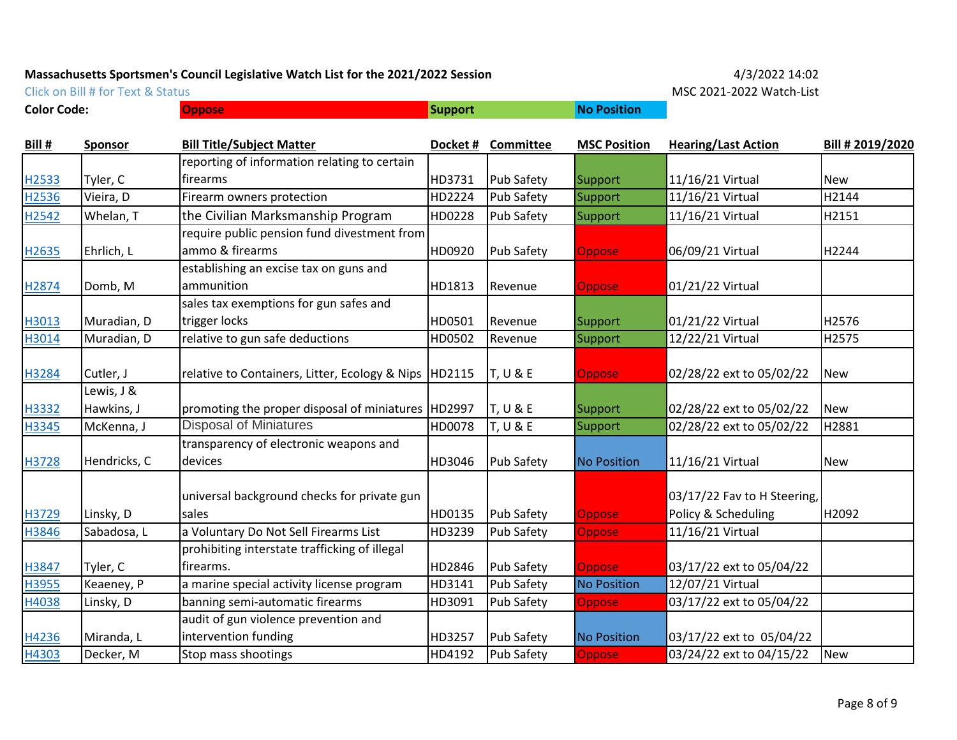**Color Code: Oppose No Position**

Click on Bill # for Text & Status MSC 2021-2022 Watch-List

| <b>Bill #</b> | <b>Sponsor</b> | <b>Bill Title/Subject Matter</b>                        | Docket# | Committee           | <b>MSC Position</b> | <b>Hearing/Last Action</b>  | Bill # 2019/2020 |
|---------------|----------------|---------------------------------------------------------|---------|---------------------|---------------------|-----------------------------|------------------|
|               |                | reporting of information relating to certain            |         |                     |                     |                             |                  |
| H2533         | Tyler, C       | firearms                                                | HD3731  | <b>Pub Safety</b>   | Support             | 11/16/21 Virtual            | <b>New</b>       |
| H2536         | Vieira, D      | Firearm owners protection                               | HD2224  | Pub Safety          | Support             | 11/16/21 Virtual            | H2144            |
| H2542         | Whelan, T      | the Civilian Marksmanship Program                       | HD0228  | Pub Safety          | Support             | 11/16/21 Virtual            | H2151            |
|               |                | require public pension fund divestment from             |         |                     |                     |                             |                  |
| H2635         | Ehrlich, L     | ammo & firearms                                         | HD0920  | <b>Pub Safety</b>   | <b>Oppose</b>       | 06/09/21 Virtual            | H2244            |
|               |                | establishing an excise tax on guns and                  |         |                     |                     |                             |                  |
| H2874         | Domb, M        | ammunition                                              | HD1813  | Revenue             | <b>Oppose</b>       | 01/21/22 Virtual            |                  |
|               |                | sales tax exemptions for gun safes and                  |         |                     |                     |                             |                  |
| H3013         | Muradian, D    | trigger locks                                           | HD0501  | Revenue             | Support             | 01/21/22 Virtual            | H2576            |
| H3014         | Muradian, D    | relative to gun safe deductions                         | HD0502  | Revenue             | Support             | 12/22/21 Virtual            | H2575            |
|               |                |                                                         |         |                     |                     |                             |                  |
| H3284         | Cutler, J      | relative to Containers, Litter, Ecology & Nips   HD2115 |         | T, U & E            | Oppose              | 02/28/22 ext to 05/02/22    | <b>New</b>       |
|               | Lewis, J &     |                                                         |         |                     |                     |                             |                  |
| H3332         | Hawkins, J     | promoting the proper disposal of miniatures   HD2997    |         | <b>T, U &amp; E</b> | Support             | 02/28/22 ext to 05/02/22    | <b>New</b>       |
| H3345         | McKenna, J     | <b>Disposal of Miniatures</b>                           | HD0078  | <b>T, U &amp; E</b> | Support             | 02/28/22 ext to 05/02/22    | H2881            |
|               |                | transparency of electronic weapons and                  |         |                     |                     |                             |                  |
| H3728         | Hendricks, C   | devices                                                 | HD3046  | <b>Pub Safety</b>   | <b>No Position</b>  | 11/16/21 Virtual            | <b>New</b>       |
|               |                |                                                         |         |                     |                     |                             |                  |
|               |                | universal background checks for private gun             |         |                     |                     | 03/17/22 Fav to H Steering, |                  |
| H3729         | Linsky, D      | sales                                                   | HD0135  | <b>Pub Safety</b>   | Oppose              | Policy & Scheduling         | H2092            |
| H3846         | Sabadosa, L    | a Voluntary Do Not Sell Firearms List                   | HD3239  | Pub Safety          | Oppose              | 11/16/21 Virtual            |                  |
|               |                | prohibiting interstate trafficking of illegal           |         |                     |                     |                             |                  |
| H3847         | Tyler, C       | firearms.                                               | HD2846  | <b>Pub Safety</b>   | Oppose              | 03/17/22 ext to 05/04/22    |                  |
| H3955         | Keaeney, P     | a marine special activity license program               | HD3141  | Pub Safety          | <b>No Position</b>  | 12/07/21 Virtual            |                  |
| H4038         | Linsky, D      | banning semi-automatic firearms                         | HD3091  | Pub Safety          | Oppose              | 03/17/22 ext to 05/04/22    |                  |
|               |                | audit of gun violence prevention and                    |         |                     |                     |                             |                  |
| H4236         | Miranda, L     | intervention funding                                    | HD3257  | <b>Pub Safety</b>   | <b>No Position</b>  | 03/17/22 ext to 05/04/22    |                  |
| H4303         | Decker, M      | Stop mass shootings                                     | HD4192  | <b>Pub Safety</b>   | Oppose              | 03/24/22 ext to 04/15/22    | <b>New</b>       |